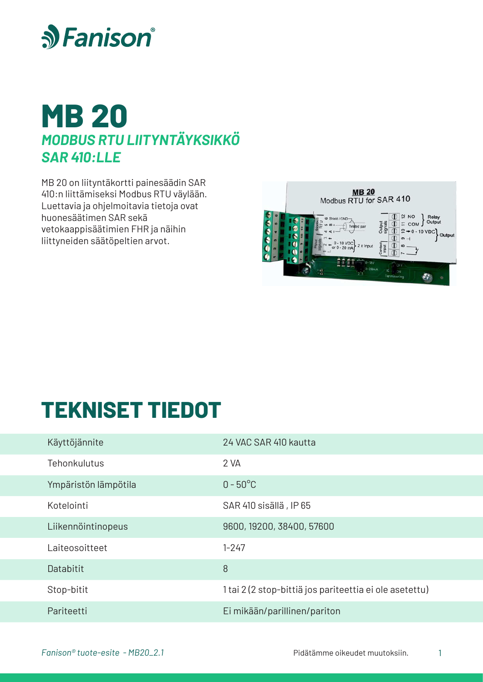



MB 20 on liityntäkortti painesäädin SAR 410:n liittämiseksi Modbus RTU väylään. Luettavia ja ohjelmoitavia tietoja ovat huonesäätimen SAR sekä vetokaappisäätimien FHR ja näihin liittyneiden säätöpeltien arvot.



## **TEKNISET TIEDOT**

| Käyttöjännite        | 24 VAC SAR 410 kautta                                   |
|----------------------|---------------------------------------------------------|
| Tehonkulutus         | 2 VA                                                    |
| Ympäristön lämpötila | $0 - 50^{\circ}$ C                                      |
| Kotelointi           | SAR 410 sisällä, IP 65                                  |
| Liikennöintinopeus   | 9600, 19200, 38400, 57600                               |
| Laiteosoitteet       | $1 - 247$                                               |
| Databitit            | 8                                                       |
| Stop-bitit           | 1 tai 2 (2 stop-bittiä jos pariteettia ei ole asetettu) |
| Pariteetti           | Ei mikään/parillinen/pariton                            |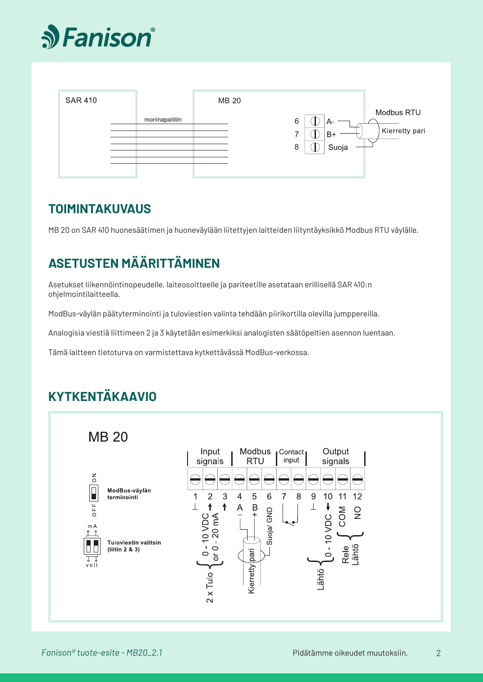



### **TOIMINTAKUVAUS**

MB 20 on SAR 410 huonesäätimen ja huoneväylään liitettyjen laitteiden liityntäyksikkö Modbus RTU väylälle.

## **ASETUSTEN MÄÄRITTÄMINEN**

Asetukset liikennöintinopeudelle, laiteosoitteelle ja pariteetille asetataan erillisellä SAR 410:n ohjelmointilaitteella.

ModBus-väylän päätyterminointi ja tuloviestien valinta tehdään piirikortilla olevilla jumppereilla.

Analogisia viestiä liittimeen 2 ja 3 käytetään esimerkiksi analogisten säätöpeltien asennon luentaan.

Tämä laitteen tietoturva on varmistettava kytkettävässä ModBus-verkossa.

## **KYTKENTÄKAAVIO**

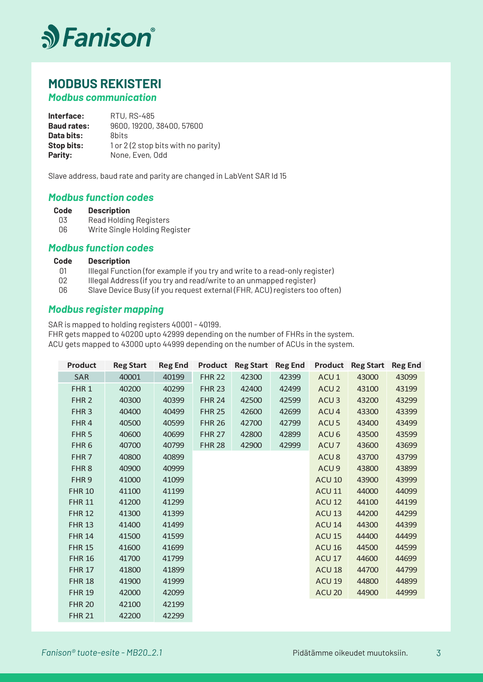

## **MODBUS REKISTERI**

### *Modbus communication*

**Interface: Baud rates: Data bits: Stop bits: Parity:** RTU, RS-485 9600, 19200, 38400, 57600 8bits 1 or 2 (2 stop bits with no parity) None, Even, Odd

Slave address, baud rate and parity are changed in LabVent SAR Id 15

### *Modbus function codes*

#### **Description Code**

- Read Holding Registers 03
- Write Single Holding Register 06

#### *Modbus function codes*

#### **Description Code**

- Illegal Function (for example if you try and write to a read-only register) 01
- Illegal Address (if you try and read/write to an unmapped register) 02
- Slave Device Busy (if you request external (FHR, ACU) registers too often) 06

#### *Modbus register mapping*

SAR is mapped to holding registers 40001 - 40199.

FHR gets mapped to 40200 upto 42999 depending on the number of FHRs in the system.

ACU gets mapped to 43000 upto 44999 depending on the number of ACUs in the system.

| <b>Product</b>   | <b>Reg Start</b> | <b>Reg End</b> | <b>Product</b> | <b>Reg Start</b> | <b>Reg End</b> | <b>Product</b>    | <b>Reg Start</b> | <b>Reg End</b> |
|------------------|------------------|----------------|----------------|------------------|----------------|-------------------|------------------|----------------|
| <b>SAR</b>       | 40001            | 40199          | <b>FHR 22</b>  | 42300            | 42399          | ACU <sub>1</sub>  | 43000            | 43099          |
| FHR <sub>1</sub> | 40200            | 40299          | <b>FHR 23</b>  | 42400            | 42499          | ACU <sub>2</sub>  | 43100            | 43199          |
| FHR <sub>2</sub> | 40300            | 40399          | <b>FHR 24</b>  | 42500            | 42599          | ACU <sub>3</sub>  | 43200            | 43299          |
| FHR <sub>3</sub> | 40400            | 40499          | <b>FHR 25</b>  | 42600            | 42699          | ACU <sub>4</sub>  | 43300            | 43399          |
| FHR4             | 40500            | 40599          | <b>FHR 26</b>  | 42700            | 42799          | ACU <sub>5</sub>  | 43400            | 43499          |
| FHR <sub>5</sub> | 40600            | 40699          | <b>FHR 27</b>  | 42800            | 42899          | ACU <sub>6</sub>  | 43500            | 43599          |
| FHR <sub>6</sub> | 40700            | 40799          | <b>FHR 28</b>  | 42900            | 42999          | ACU <sub>7</sub>  | 43600            | 43699          |
| FHR <sub>7</sub> | 40800            | 40899          |                |                  |                | ACU <sub>8</sub>  | 43700            | 43799          |
| FHR <sub>8</sub> | 40900            | 40999          |                |                  |                | ACU <sub>9</sub>  | 43800            | 43899          |
| FHR <sub>9</sub> | 41000            | 41099          |                |                  |                | ACU <sub>10</sub> | 43900            | 43999          |
| <b>FHR 10</b>    | 41100            | 41199          |                |                  |                | <b>ACU 11</b>     | 44000            | 44099          |
| <b>FHR 11</b>    | 41200            | 41299          |                |                  |                | ACU <sub>12</sub> | 44100            | 44199          |
| <b>FHR 12</b>    | 41300            | 41399          |                |                  |                | ACU <sub>13</sub> | 44200            | 44299          |
| <b>FHR 13</b>    | 41400            | 41499          |                |                  |                | <b>ACU 14</b>     | 44300            | 44399          |
| <b>FHR 14</b>    | 41500            | 41599          |                |                  |                | <b>ACU 15</b>     | 44400            | 44499          |
| <b>FHR 15</b>    | 41600            | 41699          |                |                  |                | ACU <sub>16</sub> | 44500            | 44599          |
| <b>FHR 16</b>    | 41700            | 41799          |                |                  |                | ACU <sub>17</sub> | 44600            | 44699          |
| <b>FHR 17</b>    | 41800            | 41899          |                |                  |                | ACU <sub>18</sub> | 44700            | 44799          |
| <b>FHR 18</b>    | 41900            | 41999          |                |                  |                | ACU <sub>19</sub> | 44800            | 44899          |
| <b>FHR 19</b>    | 42000            | 42099          |                |                  |                | ACU <sub>20</sub> | 44900            | 44999          |
| <b>FHR 20</b>    | 42100            | 42199          |                |                  |                |                   |                  |                |
| <b>FHR 21</b>    | 42200            | 42299          |                |                  |                |                   |                  |                |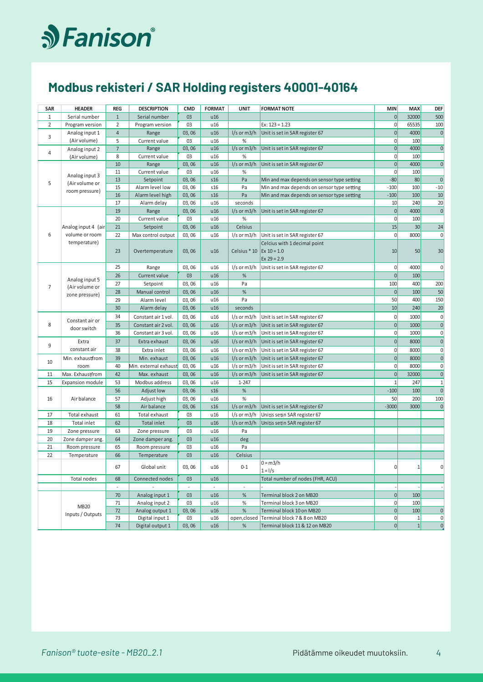# S Fanison®

## Modbus rekisteri / SAR Holding registers 40001-40164

| SAR            | <b>HEADER</b>           | REG            | <b>DESCRIPTION</b>    | <b>CMD</b> | <b>FORMAT</b> | <b>UNIT</b>              | <b>FORMAT NOTE</b>                                             | <b>MIN</b>     | <b>MAX</b>   | <b>DEF</b>     |
|----------------|-------------------------|----------------|-----------------------|------------|---------------|--------------------------|----------------------------------------------------------------|----------------|--------------|----------------|
| 1              | Serial number           | $1\,$          | Serial number         | 03         | u16           |                          |                                                                | $\overline{0}$ | 32000        | 500            |
| $\overline{2}$ | Program version         | $\overline{2}$ | Program version       | 03         | u16           |                          | $Ex: 123 = 1.23$                                               | $\mathbf 0$    | 65535        | 100            |
|                | Analog input 1          | $\overline{4}$ | Range                 | 03,06      | u16           | I/s or m3/h              | Unit is set in SAR register 67                                 | $\mathbf{0}$   | 4000         | $\theta$       |
| 3              | (Air volume)            | 5              | Current value         | 03         | u16           | $\%$                     |                                                                | $\overline{0}$ | 100          |                |
| $\overline{4}$ | Analog input 2          | $\overline{7}$ | Range                 | 03,06      | u16           | I/s or m3/h              | Unit is set in SAR register 67                                 | $\overline{0}$ | 4000         | $\overline{0}$ |
|                | (Air volume)            | 8              | Current value         | 03         | u16           | %                        |                                                                | $\mathbf 0$    | 100          |                |
|                |                         | 10             | Range                 | 03,06      | u16           | I/s or m3/h              | Unit is set in SAR register 67                                 | $\mathbf{0}$   | 4000         | $\overline{0}$ |
|                | Analog input 3          | 11             | Current value         | 03         | u16           | $\%$                     |                                                                | $\mathbf 0$    | 100          |                |
| 5              | (Air volume or          | 13             | Setpoint              | 03,06      | s16           | Pa                       | Min and max depends on sensor type setting                     | $-80$          | 80           | $\pmb{0}$      |
|                | room pressure)          | 15             | Alarm level low       | 03,06      | s16           | Pa                       | Min and max depends on sensor type setting                     | $-100$         | 100          | $-10$          |
|                |                         | 16             | Alarm level high      | 03,06      | s16           | Pa                       | Min and max depends on sensor type setting                     | $-100$         | 100          | 10             |
|                |                         | 17             | Alarm delay           | 03,06      | u16           | seconds                  |                                                                | 10             | 240          | 20             |
|                |                         | 19             | Range                 | 03,06      | u16           | I/s or m3/h              | Unit is set in SAR register 67                                 | $\mathbf{0}$   | 4000         | $\overline{0}$ |
|                |                         | 20             | Current value         | 03         | u16           | $\%$                     |                                                                | $\mathbf 0$    | 100          |                |
|                | Analog input 4 (air     | 21             | Setpoint              | 03,06      | u16           | Celsius                  |                                                                | 15             | 30           | 24             |
| 6              | volume or room          | 22             | Max control output    | 03,06      | u16           | l/s or m3/h              | Unit is set in SAR register 67                                 | $\mathbf 0$    | 8000         | $\overline{0}$ |
|                | temperature)            | 23             | Overtemperature       | 03,06      | u16           | Celsius * 10             | Celcius with 1 decimal point<br>$Ex 10 = 1.0$<br>Ex $29 = 2.9$ | 10             | 50           | 30             |
|                |                         | 25             | Range                 | 03, 06     | u16           | l/s or m3/h              | Unit is set in SAR register 67                                 | $\mathbf 0$    | 4000         | 0              |
|                |                         | 26             | <b>Current value</b>  | 03         | u16           | %                        |                                                                | $\mathbf{0}$   | 100          |                |
|                | Analog input 5          | 27             | Setpoint              | 03, 06     | u16           | Pa                       |                                                                | 100            | 400          | 200            |
| $\overline{7}$ | (Air volume or          | 28             | Manual control        | 03, 06     | u16           | $\%$                     |                                                                | $\mathbf 0$    | 100          | 50             |
|                | zone pressure)          | 29             | Alarm level           | 03,06      | u16           | Pa                       |                                                                | 50             | 400          | 150            |
|                |                         | 30             | Alarm delay           | 03,06      | u16           | seconds                  |                                                                | 10             | 240          | 20             |
|                |                         | 34             | Constant air 1 vol.   | 03,06      | u16           | $1/s$ or m3/h            | Unit is set in SAR register 67                                 | 0              | 1000         | $\pmb{0}$      |
| 8              | Constant air or         | 35             | Constant air 2 vol.   | 03,06      | u16           | $1/s$ or m3/h            | Unit is set in SAR register 67                                 | $\mathbf{0}$   | 1000         | $\mathbf{0}$   |
|                | door switch             | 36             | Constant air 3 vol.   | 03,06      | u16           | l/s or m3/h              | Unit is set in SAR register 67                                 | $\mathbf 0$    | 1000         | $\overline{0}$ |
|                | Extra                   | 37             | Extra exhaust         | 03,06      | u16           | $1/s$ or m3/h            | Unit is set in SAR register 67                                 | $\overline{0}$ | 8000         | $\mathbf{0}$   |
| 9              | constant air            | 38             | Extra inlet           | 03,06      | u16           | l/s or m3/h              | Unit is set in SAR register 67                                 | $\mathbf 0$    | 8000         | $\overline{0}$ |
|                | Min. exhaustfrom        | 39             | Min. exhaust          | 03,06      | u16           | $1/s$ or m3/h            | Unit is set in SAR register 67                                 | $\overline{0}$ | 8000         | $\overline{0}$ |
| 10             | room                    | 40             | Min. external exhaust | 03, 06     | u16           | $1/s$ or m3/h            | Unit is set in SAR register 67                                 | $\overline{0}$ | 8000         | $\overline{0}$ |
| 11             | Max. Exhaustfrom        | 42             | Max. exhaust          | 03, 06     | u16           | $1/s$ or m3/h            | Unit is set in SAR register 67                                 | $\overline{0}$ | 32000        | $\overline{0}$ |
| 15             | <b>Expansion module</b> | 53             | Modbus address        | 03,06      | u16           | $1 - 247$                |                                                                | $\mathbf{1}$   | 247          | $1\,$          |
|                |                         | 56             | Adjust low            | 03,06      | s16           | %                        |                                                                | $-100$         | 100          | $\overline{0}$ |
| 16             | Air balance             | 57             | Adjust high           | 03, 06     | u16           | %                        |                                                                | 50             | 200          | 100            |
|                |                         | 58             | Air balance           | 03,06      | s16           | $1/s$ or m3/h            | Unit is set in SAR register 67                                 | $-3000$        | 3000         | $\mathbf 0$    |
| 17             | Total exhaust           | 61             | Total exhaust         | 03         | u16           | $1/s$ or m3/h            | Unitis setin SAR register 67                                   |                |              |                |
| 18             | Total inlet             | 62             | Total inlet           | 03         | u16           | $1/s$ or m3/h            | Unitis setin SAR register 67                                   |                |              |                |
| 19             | Zone pressure           | 63             | Zone pressure         | 03         | u16           | Pa                       |                                                                |                |              |                |
| 20             | Zone damper ang.        | 64             | Zone damper ang.      | 03         | u16           | deg                      |                                                                |                |              |                |
| 21             | Room pressure           | 65             | Room pressure         | 03         | u16           | Pa                       |                                                                |                |              |                |
| 22             | Temperature             | 66             | Temperature           | 03         | u16           | Celsius                  |                                                                |                |              |                |
|                |                         | 67             | Global unit           | 03, 06     | u16           | $0 - 1$                  | $0 = m3/h$<br>$1 = 1/s$                                        | $\overline{0}$ | $1\vert$     | 0              |
|                | Total nodes             | 68             | Connected nodes       | 03         | u16           |                          | Total number of nodes (FHR, ACU)                               |                |              |                |
|                |                         |                |                       |            |               | $\overline{\phantom{a}}$ |                                                                |                |              |                |
|                |                         | 70             | Analog input 1        | 03         | u16           | %                        | Terminal block 2 on MB20                                       | 0              | 100          |                |
|                | <b>MB20</b>             | 71             | Analog input 2        | 03         | u16           | $\%$                     | Terminal block 3 on MB20                                       | $\mathbf 0$    | 100          |                |
|                | Inputs / Outputs        | 72             | Analog output 1       | 03,06      | u16           | $\%$                     | Terminal block 10 on MB20                                      | $\overline{0}$ | 100          | $\overline{0}$ |
|                |                         | 73             | Digital input 1       | 03         | u16           |                          | open, closed Terminal block 7 & 8 on MB20                      | 0              | $\mathbf{1}$ | $\overline{0}$ |
|                |                         | 74             | Digital output 1      | 03, 06     | u16           | $\%$                     | Terminal block 11 & 12 on MB20                                 | $\overline{0}$ | 1            | $\overline{0}$ |

 $\overline{4}$